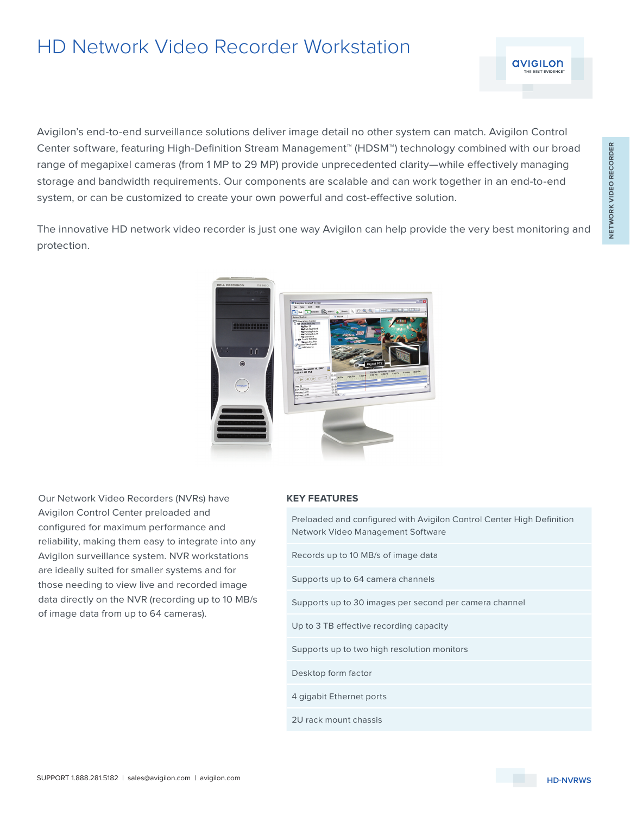## HD Network Video Recorder Workstation

Avigilon's end-to-end surveillance solutions deliver image detail no other system can match. Avigilon Control Center software, featuring High-Definition Stream Management™ (HDSM™) technology combined with our broad range of megapixel cameras (from 1 MP to 29 MP) provide unprecedented clarity—while effectively managing storage and bandwidth requirements. Our components are scalable and can work together in an end-to-end system, or can be customized to create your own powerful and cost-effective solution.

The innovative HD network video recorder is just one way Avigilon can help provide the very best monitoring and protection.

Our Network Video Recorders (NVRs) have Avigilon Control Center preloaded and configured for maximum performance and reliability, making them easy to integrate into any Avigilon surveillance system. NVR workstations are ideally suited for smaller systems and for those needing to view live and recorded image data directly on the NVR (recording up to 10 MB/s of image data from up to 64 cameras).

## **KEY FEATURES**

| FIBIOQUED QITU CONNUNENT WILLI AVIUNDIT CONTO CENTEL FIIUN DEMINION<br>Network Video Management Software |
|----------------------------------------------------------------------------------------------------------|
| Records up to 10 MB/s of image data                                                                      |
| Supports up to 64 camera channels                                                                        |
| Supports up to 30 images per second per camera channel                                                   |
| Up to 3 TB effective recording capacity                                                                  |
| Supports up to two high resolution monitors                                                              |
| Desktop form factor                                                                                      |
| 4 gigabit Ethernet ports                                                                                 |
| 2U rack mount chassis                                                                                    |
|                                                                                                          |

Preloaded and configured with Avigilon Control Center High Definition